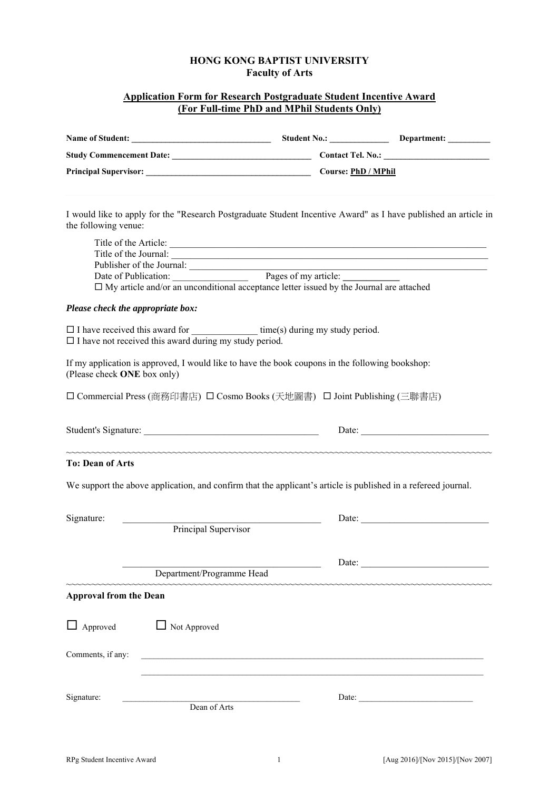# **HONG KONG BAPTIST UNIVERSITY Faculty of Arts**

#### **Application Form for Research Postgraduate Student Incentive Award (For Full-time PhD and MPhil Students Only)**

| the following venue:              |                                                                  |                                                                                                                                                                     | I would like to apply for the "Research Postgraduate Student Incentive Award" as I have published an article in                                                         |
|-----------------------------------|------------------------------------------------------------------|---------------------------------------------------------------------------------------------------------------------------------------------------------------------|-------------------------------------------------------------------------------------------------------------------------------------------------------------------------|
|                                   |                                                                  | Publisher of the Journal:<br>Date of Publication: Pages of my article:<br>□ My article and/or an unconditional acceptance letter issued by the Journal are attached | Title of the Article:<br>Title of the Journal:<br><u> 1980 - Johann Barn, mars ann an t-Amhain an t-Amhain an t-Amhain an t-Amhain an t-Amhain an t-Amhain an t-Amh</u> |
| Please check the appropriate box: |                                                                  |                                                                                                                                                                     |                                                                                                                                                                         |
|                                   | $\square$ I have not received this award during my study period. |                                                                                                                                                                     |                                                                                                                                                                         |
| (Please check ONE box only)       |                                                                  | If my application is approved, I would like to have the book coupons in the following bookshop:                                                                     |                                                                                                                                                                         |
|                                   |                                                                  | □ Commercial Press (商務印書店) □ Cosmo Books (天地圖書) □ Joint Publishing (三聯書店)                                                                                           |                                                                                                                                                                         |
|                                   |                                                                  |                                                                                                                                                                     | Date:                                                                                                                                                                   |
| <b>To: Dean of Arts</b>           |                                                                  |                                                                                                                                                                     |                                                                                                                                                                         |
|                                   |                                                                  |                                                                                                                                                                     | We support the above application, and confirm that the applicant's article is published in a refereed journal.                                                          |
| Signature:                        | Principal Supervisor                                             |                                                                                                                                                                     |                                                                                                                                                                         |
|                                   | Department/Programme Head                                        |                                                                                                                                                                     | Date:                                                                                                                                                                   |
| <b>Approval from the Dean</b>     | ~~~~~~~~~~~~~~~~~~~~~~~~                                         |                                                                                                                                                                     | کی اس کی کہنا کہ اس کی کہنا کہ اس کی کہنا کہ اس کی کہنا کہ اس کی کہنا کہ اس کی کہنا کہ اس کی کہنا کہ اس کی کہن                                                          |
| $\Box$ Approved                   | $\Box$ Not Approved                                              |                                                                                                                                                                     |                                                                                                                                                                         |
| Comments, if any:                 |                                                                  |                                                                                                                                                                     |                                                                                                                                                                         |
| Signature:                        | Dean of Arts                                                     |                                                                                                                                                                     | Date: $\frac{1}{\sqrt{1-\frac{1}{2}} \cdot \frac{1}{2}}$                                                                                                                |